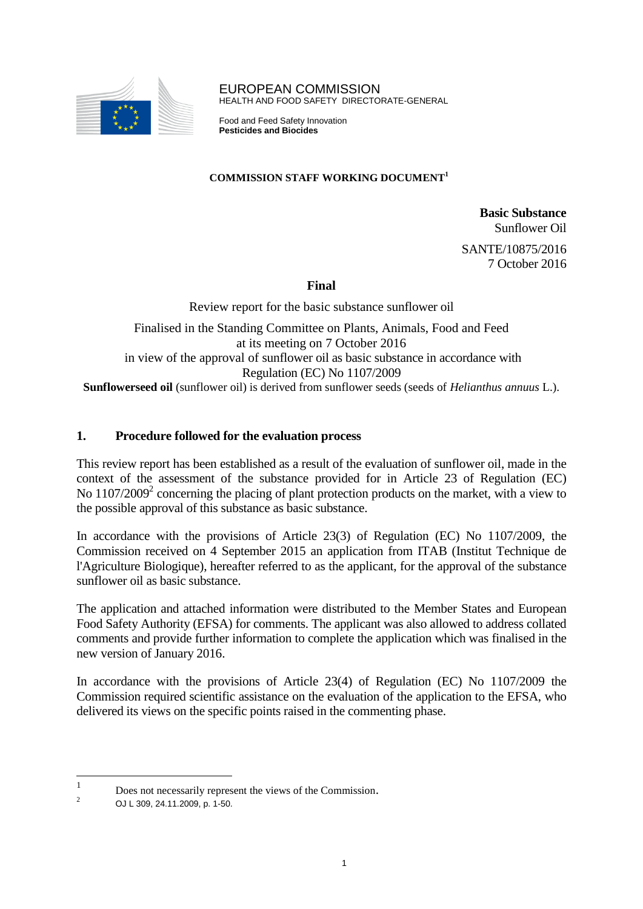

EUROPEAN COMMISSION HEALTH AND FOOD SAFETY DIRECTORATE-GENERAL

Food and Feed Safety Innovation **Pesticides and Biocides** 

### **COMMISSION STAFF WORKING DOCUMENT 1**

**Basic Substance** Sunflower Oil SANTE/10875/2016

7 October 2016

# **Final**

Review report for the basic substance sunflower oil Finalised in the Standing Committee on Plants, Animals, Food and Feed at its meeting on 7 October 2016 in view of the approval of sunflower oil as basic substance in accordance with Regulation (EC) No 1107/2009 **Sunflowerseed oil** (sunflower oil) is derived from sunflower seeds (seeds of *Helianthus annuus* L.).

# **1. Procedure followed for the evaluation process**

This review report has been established as a result of the evaluation of sunflower oil, made in the context of the assessment of the substance provided for in Article 23 of Regulation (EC) No  $1107/2009<sup>2</sup>$  concerning the placing of plant protection products on the market, with a view to the possible approval of this substance as basic substance.

In accordance with the provisions of Article 23(3) of Regulation (EC) No 1107/2009, the Commission received on 4 September 2015 an application from ITAB (Institut Technique de l'Agriculture Biologique), hereafter referred to as the applicant, for the approval of the substance sunflower oil as basic substance.

The application and attached information were distributed to the Member States and European Food Safety Authority (EFSA) for comments. The applicant was also allowed to address collated comments and provide further information to complete the application which was finalised in the new version of January 2016.

In accordance with the provisions of Article 23(4) of Regulation (EC) No 1107/2009 the Commission required scientific assistance on the evaluation of the application to the EFSA, who delivered its views on the specific points raised in the commenting phase.

 $\frac{1}{1}$ Does not necessarily represent the views of the Commission.

<sup>&</sup>lt;sup>2</sup> OJ L 309, 24.11.2009, p. 1-50.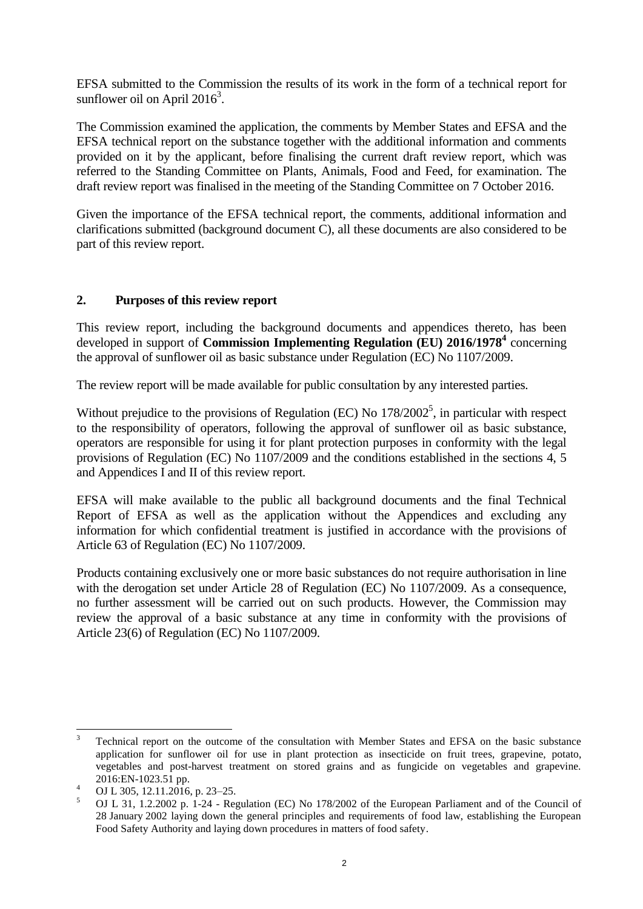EFSA submitted to the Commission the results of its work in the form of a technical report for sunflower oil on April  $2016<sup>3</sup>$ .

The Commission examined the application, the comments by Member States and EFSA and the EFSA technical report on the substance together with the additional information and comments provided on it by the applicant, before finalising the current draft review report, which was referred to the Standing Committee on Plants, Animals, Food and Feed, for examination. The draft review report was finalised in the meeting of the Standing Committee on 7 October 2016.

Given the importance of the EFSA technical report, the comments, additional information and clarifications submitted (background document C), all these documents are also considered to be part of this review report.

### **2. Purposes of this review report**

This review report, including the background documents and appendices thereto, has been developed in support of **Commission Implementing Regulation (EU) 2016/1978<sup>4</sup>** concerning the approval of sunflower oil as basic substance under Regulation (EC) No 1107/2009.

The review report will be made available for public consultation by any interested parties.

Without prejudice to the provisions of Regulation (EC) No  $178/2002^5$ , in particular with respect to the responsibility of operators, following the approval of sunflower oil as basic substance, operators are responsible for using it for plant protection purposes in conformity with the legal provisions of Regulation (EC) No 1107/2009 and the conditions established in the sections 4, 5 and Appendices I and II of this review report.

EFSA will make available to the public all background documents and the final Technical Report of EFSA as well as the application without the Appendices and excluding any information for which confidential treatment is justified in accordance with the provisions of Article 63 of Regulation (EC) No 1107/2009.

Products containing exclusively one or more basic substances do not require authorisation in line with the derogation set under Article 28 of Regulation (EC) No 1107/2009. As a consequence, no further assessment will be carried out on such products. However, the Commission may review the approval of a basic substance at any time in conformity with the provisions of Article 23(6) of Regulation (EC) No 1107/2009.

 $\overline{\mathbf{3}}$ <sup>3</sup> Technical report on the outcome of the consultation with Member States and EFSA on the basic substance application for sunflower oil for use in plant protection as insecticide on fruit trees, grapevine, potato, vegetables and post-harvest treatment on stored grains and as fungicide on vegetables and grapevine. 2016:EN-1023.51 pp.

 $^{4}$  OJ L 305, 12.11.2016, p. 23–25.

<sup>5</sup> OJ L 31, 1.2.2002 p. 1-24 - Regulation (EC) No 178/2002 of the European Parliament and of the Council of 28 January 2002 laying down the general principles and requirements of food law, establishing the European Food Safety Authority and laying down procedures in matters of food safety.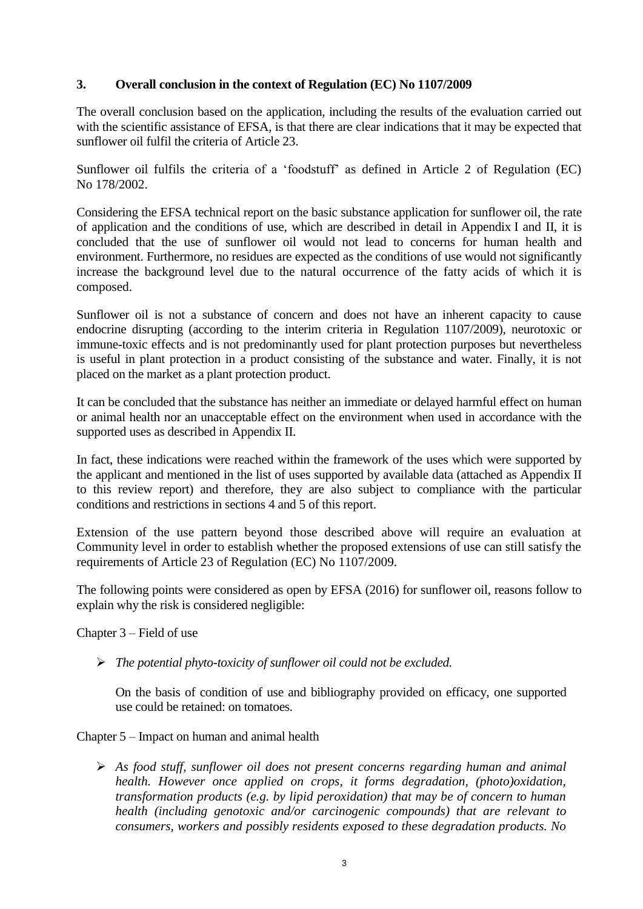# **3. Overall conclusion in the context of Regulation (EC) No 1107/2009**

The overall conclusion based on the application, including the results of the evaluation carried out with the scientific assistance of EFSA, is that there are clear indications that it may be expected that sunflower oil fulfil the criteria of Article 23.

Sunflower oil fulfils the criteria of a 'foodstuff' as defined in Article 2 of Regulation (EC) No 178/2002.

Considering the EFSA technical report on the basic substance application for sunflower oil, the rate of application and the conditions of use, which are described in detail in Appendix I and II, it is concluded that the use of sunflower oil would not lead to concerns for human health and environment. Furthermore, no residues are expected as the conditions of use would not significantly increase the background level due to the natural occurrence of the fatty acids of which it is composed.

Sunflower oil is not a substance of concern and does not have an inherent capacity to cause endocrine disrupting (according to the interim criteria in Regulation 1107/2009), neurotoxic or immune-toxic effects and is not predominantly used for plant protection purposes but nevertheless is useful in plant protection in a product consisting of the substance and water. Finally, it is not placed on the market as a plant protection product.

It can be concluded that the substance has neither an immediate or delayed harmful effect on human or animal health nor an unacceptable effect on the environment when used in accordance with the supported uses as described in Appendix II.

In fact, these indications were reached within the framework of the uses which were supported by the applicant and mentioned in the list of uses supported by available data (attached as Appendix II to this review report) and therefore, they are also subject to compliance with the particular conditions and restrictions in sections 4 and 5 of this report.

Extension of the use pattern beyond those described above will require an evaluation at Community level in order to establish whether the proposed extensions of use can still satisfy the requirements of Article 23 of Regulation (EC) No 1107/2009.

The following points were considered as open by EFSA (2016) for sunflower oil, reasons follow to explain why the risk is considered negligible:

Chapter 3 – Field of use

*The potential phyto-toxicity of sunflower oil could not be excluded.*

On the basis of condition of use and bibliography provided on efficacy, one supported use could be retained: on tomatoes.

Chapter 5 – Impact on human and animal health

 *As food stuff, sunflower oil does not present concerns regarding human and animal health. However once applied on crops, it forms degradation, (photo)oxidation, transformation products (e.g. by lipid peroxidation) that may be of concern to human health (including genotoxic and/or carcinogenic compounds) that are relevant to consumers, workers and possibly residents exposed to these degradation products. No*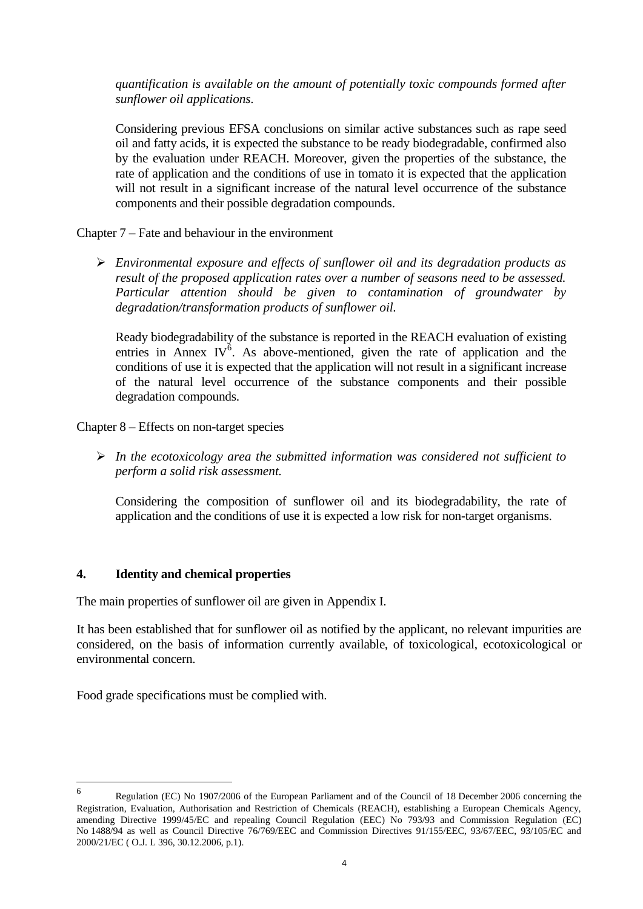*quantification is available on the amount of potentially toxic compounds formed after sunflower oil applications.*

Considering previous EFSA conclusions on similar active substances such as rape seed oil and fatty acids, it is expected the substance to be ready biodegradable, confirmed also by the evaluation under REACH. Moreover, given the properties of the substance, the rate of application and the conditions of use in tomato it is expected that the application will not result in a significant increase of the natural level occurrence of the substance components and their possible degradation compounds.

Chapter 7 – Fate and behaviour in the environment

 *Environmental exposure and effects of sunflower oil and its degradation products as result of the proposed application rates over a number of seasons need to be assessed. Particular attention should be given to contamination of groundwater by degradation/transformation products of sunflower oil.* 

Ready biodegradability of the substance is reported in the REACH evaluation of existing entries in Annex IV $\delta$ . As above-mentioned, given the rate of application and the conditions of use it is expected that the application will not result in a significant increase of the natural level occurrence of the substance components and their possible degradation compounds.

Chapter 8 – Effects on non-target species

 *In the ecotoxicology area the submitted information was considered not sufficient to perform a solid risk assessment.* 

Considering the composition of sunflower oil and its biodegradability, the rate of application and the conditions of use it is expected a low risk for non-target organisms.

# **4. Identity and chemical properties**

The main properties of sunflower oil are given in Appendix I.

It has been established that for sunflower oil as notified by the applicant, no relevant impurities are considered, on the basis of information currently available, of toxicological, ecotoxicological or environmental concern.

Food grade specifications must be complied with.

 6 Regulation (EC) No 1907/2006 of the European Parliament and of the Council of 18 December 2006 concerning the Registration, Evaluation, Authorisation and Restriction of Chemicals (REACH), establishing a European Chemicals Agency, amending Directive 1999/45/EC and repealing Council Regulation (EEC) No 793/93 and Commission Regulation (EC) No 1488/94 as well as Council Directive 76/769/EEC and Commission Directives 91/155/EEC, 93/67/EEC, 93/105/EC and 2000/21/EC ( O.J. L 396, 30.12.2006, p.1).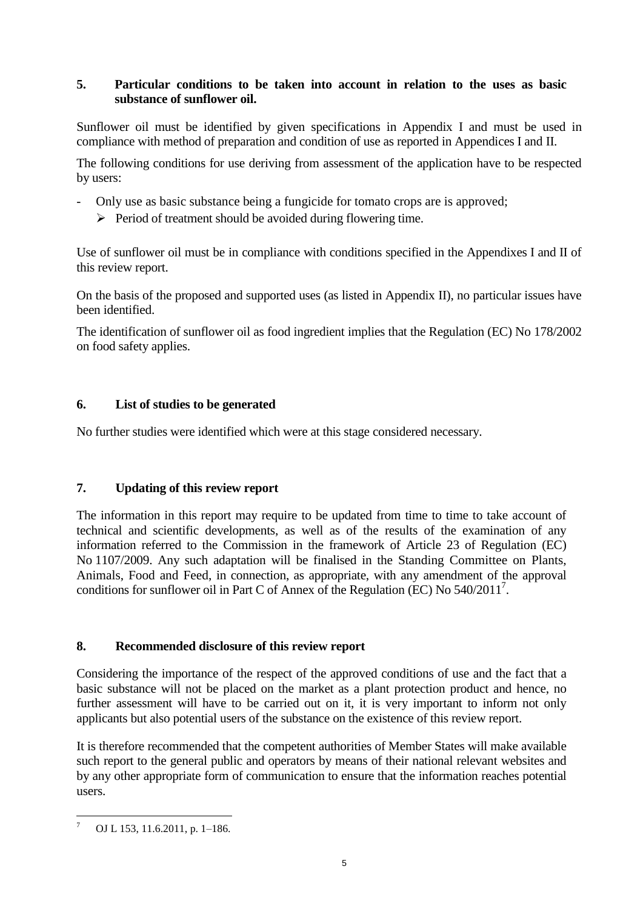# **5. Particular conditions to be taken into account in relation to the uses as basic substance of sunflower oil.**

Sunflower oil must be identified by given specifications in Appendix I and must be used in compliance with method of preparation and condition of use as reported in Appendices I and II.

The following conditions for use deriving from assessment of the application have to be respected by users:

- Only use as basic substance being a fungicide for tomato crops are is approved;
	- $\triangleright$  Period of treatment should be avoided during flowering time.

Use of sunflower oil must be in compliance with conditions specified in the Appendixes I and II of this review report.

On the basis of the proposed and supported uses (as listed in Appendix II), no particular issues have been identified.

The identification of sunflower oil as food ingredient implies that the Regulation (EC) No 178/2002 on food safety applies.

# **6. List of studies to be generated**

No further studies were identified which were at this stage considered necessary.

# **7. Updating of this review report**

The information in this report may require to be updated from time to time to take account of technical and scientific developments, as well as of the results of the examination of any information referred to the Commission in the framework of Article 23 of Regulation (EC) No 1107/2009. Any such adaptation will be finalised in the Standing Committee on Plants, Animals, Food and Feed, in connection, as appropriate, with any amendment of the approval conditions for sunflower oil in Part C of Annex of the Regulation (EC) No 540/2011<sup>7</sup> .

# **8. Recommended disclosure of this review report**

Considering the importance of the respect of the approved conditions of use and the fact that a basic substance will not be placed on the market as a plant protection product and hence, no further assessment will have to be carried out on it, it is very important to inform not only applicants but also potential users of the substance on the existence of this review report.

It is therefore recommended that the competent authorities of Member States will make available such report to the general public and operators by means of their national relevant websites and by any other appropriate form of communication to ensure that the information reaches potential users.

 $\overline{a}$ OJ L 153, 11.6.2011, p. 1-186.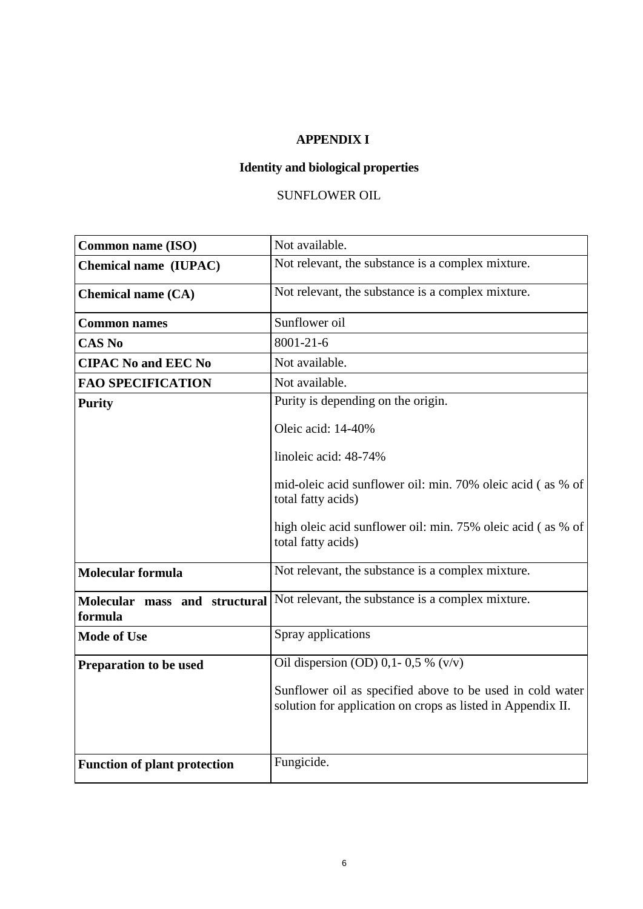# **APPENDIX I**

# **Identity and biological properties**

# SUNFLOWER OIL

| <b>Common name (ISO)</b>                 | Not available.                                                                                                           |
|------------------------------------------|--------------------------------------------------------------------------------------------------------------------------|
| Chemical name (IUPAC)                    | Not relevant, the substance is a complex mixture.                                                                        |
| <b>Chemical name (CA)</b>                | Not relevant, the substance is a complex mixture.                                                                        |
| <b>Common names</b>                      | Sunflower oil                                                                                                            |
| <b>CAS No</b>                            | $8001 - 21 - 6$                                                                                                          |
| <b>CIPAC No and EEC No</b>               | Not available.                                                                                                           |
| <b>FAO SPECIFICATION</b>                 | Not available.                                                                                                           |
| <b>Purity</b>                            | Purity is depending on the origin.                                                                                       |
|                                          | Oleic acid: 14-40%                                                                                                       |
|                                          | linoleic acid: 48-74%                                                                                                    |
|                                          | mid-oleic acid sunflower oil: min. 70% oleic acid (as % of<br>total fatty acids)                                         |
|                                          | high oleic acid sunflower oil: min. 75% oleic acid (as % of<br>total fatty acids)                                        |
| <b>Molecular formula</b>                 | Not relevant, the substance is a complex mixture.                                                                        |
| Molecular mass and structural<br>formula | Not relevant, the substance is a complex mixture.                                                                        |
| <b>Mode of Use</b>                       | Spray applications                                                                                                       |
| Preparation to be used                   | Oil dispersion (OD) 0,1- 0,5 % $\sqrt{(v/v)}$                                                                            |
|                                          | Sunflower oil as specified above to be used in cold water<br>solution for application on crops as listed in Appendix II. |
|                                          | Fungicide.                                                                                                               |
| <b>Function of plant protection</b>      |                                                                                                                          |